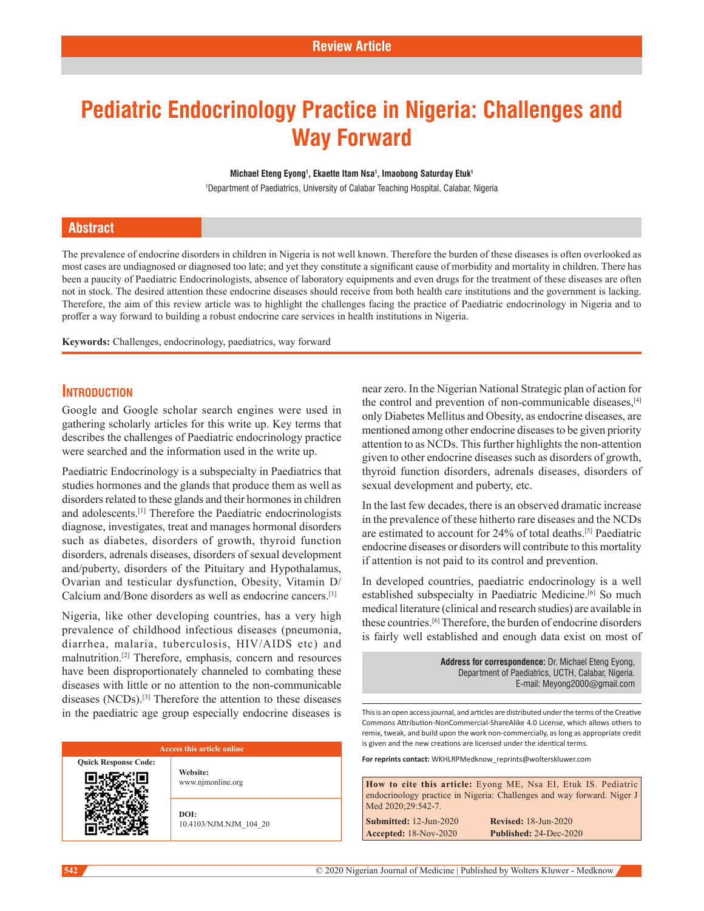# **Pediatric Endocrinology Practice in Nigeria: Challenges and Way Forward**

#### **Michael Eteng Eyong1 , Ekaette Itam Nsa1 , Imaobong Saturday Etuk1**

1 Department of Paediatrics, University of Calabar Teaching Hospital, Calabar, Nigeria

## **Abstract**

The prevalence of endocrine disorders in children in Nigeria is not well known. Therefore the burden of these diseases is often overlooked as most cases are undiagnosed or diagnosed too late; and yet they constitute a significant cause of morbidity and mortality in children. There has been a paucity of Paediatric Endocrinologists, absence of laboratory equipments and even drugs for the treatment of these diseases are often not in stock. The desired attention these endocrine diseases should receive from both health care institutions and the government is lacking. Therefore, the aim of this review article was to highlight the challenges facing the practice of Paediatric endocrinology in Nigeria and to proffer a way forward to building a robust endocrine care services in health institutions in Nigeria.

**Keywords:** Challenges, endocrinology, paediatrics, way forward

# **Introduction**

Google and Google scholar search engines were used in gathering scholarly articles for this write up. Key terms that describes the challenges of Paediatric endocrinology practice were searched and the information used in the write up.

Paediatric Endocrinology is a subspecialty in Paediatrics that studies hormones and the glands that produce them as well as disorders related to these glands and their hormones in children and adolescents.[1] Therefore the Paediatric endocrinologists diagnose, investigates, treat and manages hormonal disorders such as diabetes, disorders of growth, thyroid function disorders, adrenals diseases, disorders of sexual development and/puberty, disorders of the Pituitary and Hypothalamus, Ovarian and testicular dysfunction, Obesity, Vitamin D/ Calcium and/Bone disorders as well as endocrine cancers.[1]

Nigeria, like other developing countries, has a very high prevalence of childhood infectious diseases (pneumonia, diarrhea, malaria, tuberculosis, HIV/AIDS etc) and malnutrition.[2] Therefore, emphasis, concern and resources have been disproportionately channeled to combating these diseases with little or no attention to the non-communicable diseases (NCDs).[3] Therefore the attention to these diseases in the paediatric age group especially endocrine diseases is

#### **Access this article online**

**Quick Response Code: Website:** www.njmonline.org

> **DOI:** 10.4103/NJM.NJM\_104\_20

near zero. In the Nigerian National Strategic plan of action for the control and prevention of non-communicable diseases,[4] only Diabetes Mellitus and Obesity, as endocrine diseases, are mentioned among other endocrine diseases to be given priority attention to as NCDs. This further highlights the non-attention given to other endocrine diseases such as disorders of growth, thyroid function disorders, adrenals diseases, disorders of sexual development and puberty, etc.

In the last few decades, there is an observed dramatic increase in the prevalence of these hitherto rare diseases and the NCDs are estimated to account for 24% of total deaths.[5] Paediatric endocrine diseases or disorders will contribute to this mortality if attention is not paid to its control and prevention.

In developed countries, paediatric endocrinology is a well established subspecialty in Paediatric Medicine.<sup>[6]</sup> So much medical literature (clinical and research studies) are available in these countries.[6] Therefore, the burden of endocrine disorders is fairly well established and enough data exist on most of

> **Address for correspondence:** Dr. Michael Eteng Eyong, Department of Paediatrics, UCTH, Calabar, Nigeria. E-mail: Meyong2000@gmail.com

This is an open access journal, and articles are distributed under the terms of the Creative Commons Attribution‑NonCommercial‑ShareAlike 4.0 License, which allows others to remix, tweak, and build upon the work non‑commercially, as long as appropriate credit is given and the new creations are licensed under the identical terms.

**For reprints contact:** WKHLRPMedknow\_reprints@wolterskluwer.com

**How to cite this article:** Eyong ME, Nsa EI, Etuk IS. Pediatric endocrinology practice in Nigeria: Challenges and way forward. Niger J Med 2020;29:542-7. **Submitted:** 12-Jun-2020 **Revised:** 18-Jun-2020 **Accepted:** 18-Nov-2020 **Published:** 24-Dec-2020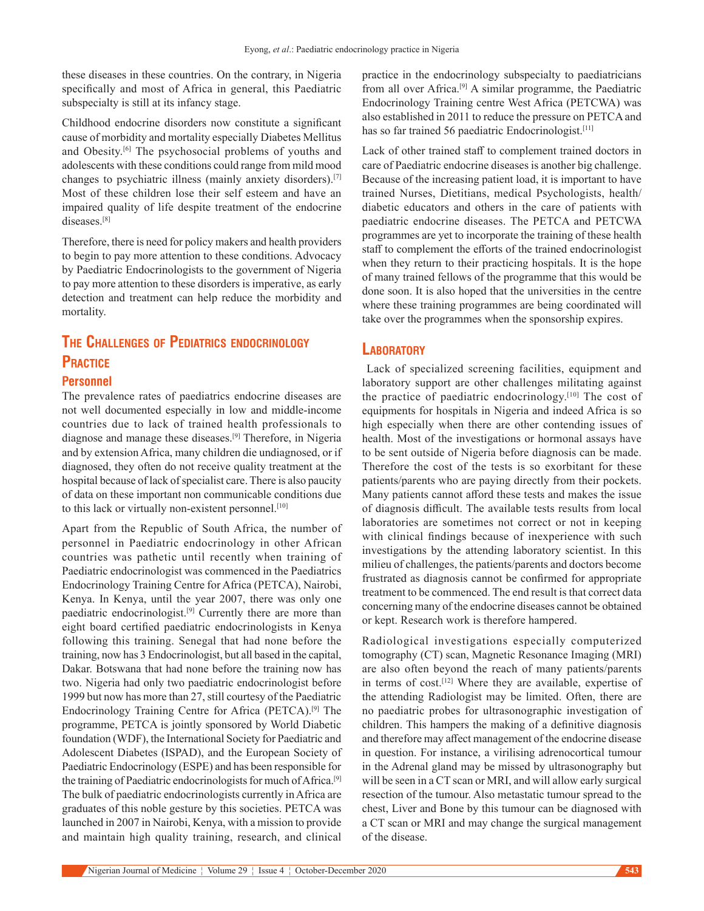these diseases in these countries. On the contrary, in Nigeria specifically and most of Africa in general, this Paediatric subspecialty is still at its infancy stage.

Childhood endocrine disorders now constitute a significant cause of morbidity and mortality especially Diabetes Mellitus and Obesity.[6] The psychosocial problems of youths and adolescents with these conditions could range from mild mood changes to psychiatric illness (mainly anxiety disorders).[7] Most of these children lose their self esteem and have an impaired quality of life despite treatment of the endocrine diseases.[8]

Therefore, there is need for policy makers and health providers to begin to pay more attention to these conditions. Advocacy by Paediatric Endocrinologists to the government of Nigeria to pay more attention to these disorders is imperative, as early detection and treatment can help reduce the morbidity and mortality.

# **The Challenges of Pediatrics endocrinology Practice**

#### **Personnel**

The prevalence rates of paediatrics endocrine diseases are not well documented especially in low and middle-income countries due to lack of trained health professionals to diagnose and manage these diseases.[9] Therefore, in Nigeria and by extension Africa, many children die undiagnosed, or if diagnosed, they often do not receive quality treatment at the hospital because of lack of specialist care. There is also paucity of data on these important non communicable conditions due to this lack or virtually non-existent personnel.<sup>[10]</sup>

Apart from the Republic of South Africa, the number of personnel in Paediatric endocrinology in other African countries was pathetic until recently when training of Paediatric endocrinologist was commenced in the Paediatrics Endocrinology Training Centre for Africa (PETCA), Nairobi, Kenya. In Kenya, until the year 2007, there was only one paediatric endocrinologist.<sup>[9]</sup> Currently there are more than eight board certified paediatric endocrinologists in Kenya following this training. Senegal that had none before the training, now has 3 Endocrinologist, but all based in the capital, Dakar. Botswana that had none before the training now has two. Nigeria had only two paediatric endocrinologist before 1999 but now has more than 27, still courtesy of the Paediatric Endocrinology Training Centre for Africa (PETCA).[9] The programme, PETCA is jointly sponsored by World Diabetic foundation (WDF), the International Society for Paediatric and Adolescent Diabetes (ISPAD), and the European Society of Paediatric Endocrinology (ESPE) and has been responsible for the training of Paediatric endocrinologists for much of Africa.[9] The bulk of paediatric endocrinologists currently in Africa are graduates of this noble gesture by this societies. PETCA was launched in 2007 in Nairobi, Kenya, with a mission to provide and maintain high quality training, research, and clinical

practice in the endocrinology subspecialty to paediatricians from all over Africa.[9] A similar programme, the Paediatric Endocrinology Training centre West Africa (PETCWA) was also established in 2011 to reduce the pressure on PETCA and has so far trained 56 paediatric Endocrinologist.<sup>[11]</sup>

Lack of other trained staff to complement trained doctors in care of Paediatric endocrine diseases is another big challenge. Because of the increasing patient load, it is important to have trained Nurses, Dietitians, medical Psychologists, health/ diabetic educators and others in the care of patients with paediatric endocrine diseases. The PETCA and PETCWA programmes are yet to incorporate the training of these health staff to complement the efforts of the trained endocrinologist when they return to their practicing hospitals. It is the hope of many trained fellows of the programme that this would be done soon. It is also hoped that the universities in the centre where these training programmes are being coordinated will take over the programmes when the sponsorship expires.

# **Laboratory**

 Lack of specialized screening facilities, equipment and laboratory support are other challenges militating against the practice of paediatric endocrinology.[10] The cost of equipments for hospitals in Nigeria and indeed Africa is so high especially when there are other contending issues of health. Most of the investigations or hormonal assays have to be sent outside of Nigeria before diagnosis can be made. Therefore the cost of the tests is so exorbitant for these patients/parents who are paying directly from their pockets. Many patients cannot afford these tests and makes the issue of diagnosis difficult. The available tests results from local laboratories are sometimes not correct or not in keeping with clinical findings because of inexperience with such investigations by the attending laboratory scientist. In this milieu of challenges, the patients/parents and doctors become frustrated as diagnosis cannot be confirmed for appropriate treatment to be commenced. The end result is that correct data concerning many of the endocrine diseases cannot be obtained or kept. Research work is therefore hampered.

Radiological investigations especially computerized tomography (CT) scan, Magnetic Resonance Imaging (MRI) are also often beyond the reach of many patients/parents in terms of cost.<sup>[12]</sup> Where they are available, expertise of the attending Radiologist may be limited. Often, there are no paediatric probes for ultrasonographic investigation of children. This hampers the making of a definitive diagnosis and therefore may affect management of the endocrine disease in question. For instance, a virilising adrenocortical tumour in the Adrenal gland may be missed by ultrasonography but will be seen in a CT scan or MRI, and will allow early surgical resection of the tumour. Also metastatic tumour spread to the chest, Liver and Bone by this tumour can be diagnosed with a CT scan or MRI and may change the surgical management of the disease.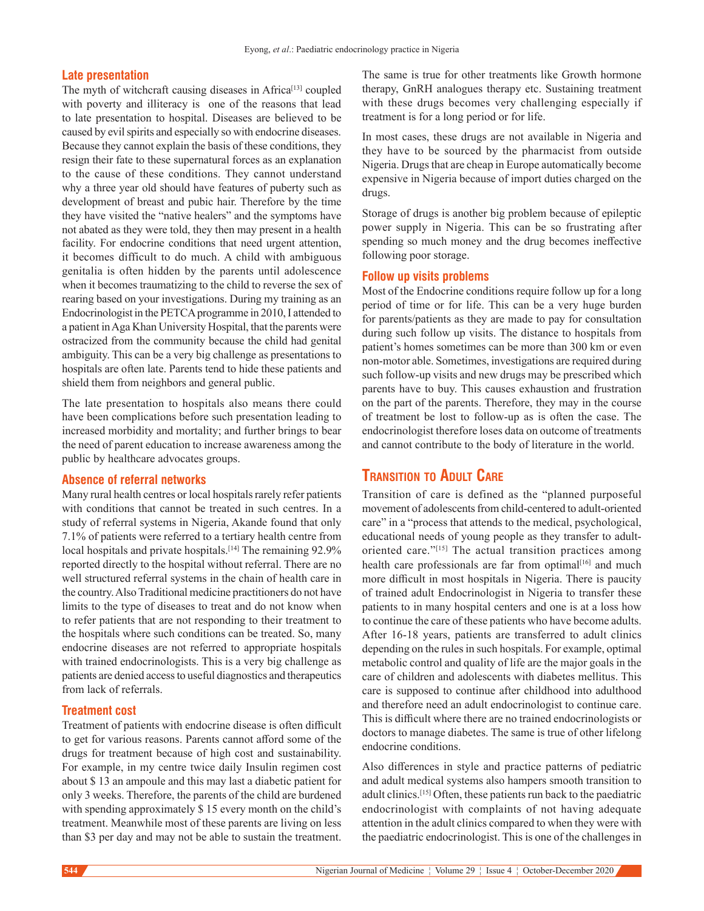#### **Late presentation**

The myth of witchcraft causing diseases in Africa<sup>[13]</sup> coupled with poverty and illiteracy is one of the reasons that lead to late presentation to hospital. Diseases are believed to be caused by evil spirits and especially so with endocrine diseases. Because they cannot explain the basis of these conditions, they resign their fate to these supernatural forces as an explanation to the cause of these conditions. They cannot understand why a three year old should have features of puberty such as development of breast and pubic hair. Therefore by the time they have visited the "native healers" and the symptoms have not abated as they were told, they then may present in a health facility. For endocrine conditions that need urgent attention, it becomes difficult to do much. A child with ambiguous genitalia is often hidden by the parents until adolescence when it becomes traumatizing to the child to reverse the sex of rearing based on your investigations. During my training as an Endocrinologist in the PETCA programme in 2010, I attended to a patient in Aga Khan University Hospital, that the parents were ostracized from the community because the child had genital ambiguity. This can be a very big challenge as presentations to hospitals are often late. Parents tend to hide these patients and shield them from neighbors and general public.

The late presentation to hospitals also means there could have been complications before such presentation leading to increased morbidity and mortality; and further brings to bear the need of parent education to increase awareness among the public by healthcare advocates groups.

#### **Absence of referral networks**

Many rural health centres or local hospitals rarely refer patients with conditions that cannot be treated in such centres. In a study of referral systems in Nigeria, Akande found that only 7.1% of patients were referred to a tertiary health centre from local hospitals and private hospitals.<sup>[14]</sup> The remaining 92.9% reported directly to the hospital without referral. There are no well structured referral systems in the chain of health care in the country. Also Traditional medicine practitioners do not have limits to the type of diseases to treat and do not know when to refer patients that are not responding to their treatment to the hospitals where such conditions can be treated. So, many endocrine diseases are not referred to appropriate hospitals with trained endocrinologists. This is a very big challenge as patients are denied access to useful diagnostics and therapeutics from lack of referrals.

#### **Treatment cost**

Treatment of patients with endocrine disease is often difficult to get for various reasons. Parents cannot afford some of the drugs for treatment because of high cost and sustainability. For example, in my centre twice daily Insulin regimen cost about \$ 13 an ampoule and this may last a diabetic patient for only 3 weeks. Therefore, the parents of the child are burdened with spending approximately \$ 15 every month on the child's treatment. Meanwhile most of these parents are living on less than \$3 per day and may not be able to sustain the treatment. The same is true for other treatments like Growth hormone therapy, GnRH analogues therapy etc. Sustaining treatment with these drugs becomes very challenging especially if treatment is for a long period or for life.

In most cases, these drugs are not available in Nigeria and they have to be sourced by the pharmacist from outside Nigeria. Drugs that are cheap in Europe automatically become expensive in Nigeria because of import duties charged on the drugs.

Storage of drugs is another big problem because of epileptic power supply in Nigeria. This can be so frustrating after spending so much money and the drug becomes ineffective following poor storage.

#### **Follow up visits problems**

Most of the Endocrine conditions require follow up for a long period of time or for life. This can be a very huge burden for parents/patients as they are made to pay for consultation during such follow up visits. The distance to hospitals from patient's homes sometimes can be more than 300 km or even non-motor able. Sometimes, investigations are required during such follow-up visits and new drugs may be prescribed which parents have to buy. This causes exhaustion and frustration on the part of the parents. Therefore, they may in the course of treatment be lost to follow-up as is often the case. The endocrinologist therefore loses data on outcome of treatments and cannot contribute to the body of literature in the world.

# **Transition to Adult Care**

Transition of care is defined as the "planned purposeful movement of adolescents from child-centered to adult-oriented care" in a "process that attends to the medical, psychological, educational needs of young people as they transfer to adultoriented care."[15] The actual transition practices among health care professionals are far from optimal<sup>[16]</sup> and much more difficult in most hospitals in Nigeria. There is paucity of trained adult Endocrinologist in Nigeria to transfer these patients to in many hospital centers and one is at a loss how to continue the care of these patients who have become adults. After 16-18 years, patients are transferred to adult clinics depending on the rules in such hospitals. For example, optimal metabolic control and quality of life are the major goals in the care of children and adolescents with diabetes mellitus. This care is supposed to continue after childhood into adulthood and therefore need an adult endocrinologist to continue care. This is difficult where there are no trained endocrinologists or doctors to manage diabetes. The same is true of other lifelong endocrine conditions.

Also differences in style and practice patterns of pediatric and adult medical systems also hampers smooth transition to adult clinics.[15] Often, these patients run back to the paediatric endocrinologist with complaints of not having adequate attention in the adult clinics compared to when they were with the paediatric endocrinologist. This is one of the challenges in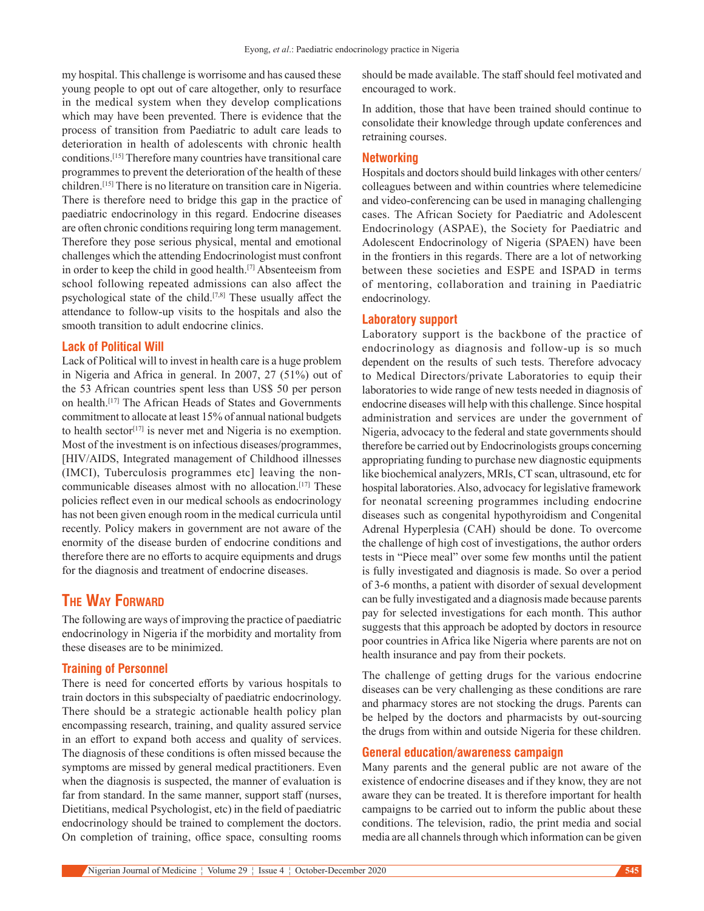my hospital. This challenge is worrisome and has caused these young people to opt out of care altogether, only to resurface in the medical system when they develop complications which may have been prevented. There is evidence that the process of transition from Paediatric to adult care leads to deterioration in health of adolescents with chronic health conditions.[15] Therefore many countries have transitional care programmes to prevent the deterioration of the health of these children.[15] There is no literature on transition care in Nigeria. There is therefore need to bridge this gap in the practice of paediatric endocrinology in this regard. Endocrine diseases are often chronic conditions requiring long term management. Therefore they pose serious physical, mental and emotional challenges which the attending Endocrinologist must confront in order to keep the child in good health.[7] Absenteeism from school following repeated admissions can also affect the psychological state of the child.[7,8] These usually affect the attendance to follow-up visits to the hospitals and also the smooth transition to adult endocrine clinics.

#### **Lack of Political Will**

Lack of Political will to invest in health care is a huge problem in Nigeria and Africa in general. In 2007, 27 (51%) out of the 53 African countries spent less than US\$ 50 per person on health.[17] The African Heads of States and Governments commitment to allocate at least 15% of annual national budgets to health sector $[17]$  is never met and Nigeria is no exemption. Most of the investment is on infectious diseases/programmes, [HIV/AIDS, Integrated management of Childhood illnesses (IMCI), Tuberculosis programmes etc] leaving the noncommunicable diseases almost with no allocation.<sup>[17]</sup> These policies reflect even in our medical schools as endocrinology has not been given enough room in the medical curricula until recently. Policy makers in government are not aware of the enormity of the disease burden of endocrine conditions and therefore there are no efforts to acquire equipments and drugs for the diagnosis and treatment of endocrine diseases.

# **The Way Forward**

The following are ways of improving the practice of paediatric endocrinology in Nigeria if the morbidity and mortality from these diseases are to be minimized.

#### **Training of Personnel**

There is need for concerted efforts by various hospitals to train doctors in this subspecialty of paediatric endocrinology. There should be a strategic actionable health policy plan encompassing research, training, and quality assured service in an effort to expand both access and quality of services. The diagnosis of these conditions is often missed because the symptoms are missed by general medical practitioners. Even when the diagnosis is suspected, the manner of evaluation is far from standard. In the same manner, support staff (nurses, Dietitians, medical Psychologist, etc) in the field of paediatric endocrinology should be trained to complement the doctors. On completion of training, office space, consulting rooms should be made available. The staff should feel motivated and encouraged to work.

In addition, those that have been trained should continue to consolidate their knowledge through update conferences and retraining courses.

#### **Networking**

Hospitals and doctors should build linkages with other centers/ colleagues between and within countries where telemedicine and video-conferencing can be used in managing challenging cases. The African Society for Paediatric and Adolescent Endocrinology (ASPAE), the Society for Paediatric and Adolescent Endocrinology of Nigeria (SPAEN) have been in the frontiers in this regards. There are a lot of networking between these societies and ESPE and ISPAD in terms of mentoring, collaboration and training in Paediatric endocrinology.

#### **Laboratory support**

Laboratory support is the backbone of the practice of endocrinology as diagnosis and follow-up is so much dependent on the results of such tests. Therefore advocacy to Medical Directors/private Laboratories to equip their laboratories to wide range of new tests needed in diagnosis of endocrine diseases will help with this challenge. Since hospital administration and services are under the government of Nigeria, advocacy to the federal and state governments should therefore be carried out by Endocrinologists groups concerning appropriating funding to purchase new diagnostic equipments like biochemical analyzers, MRIs, CT scan, ultrasound, etc for hospital laboratories. Also, advocacy for legislative framework for neonatal screening programmes including endocrine diseases such as congenital hypothyroidism and Congenital Adrenal Hyperplesia (CAH) should be done. To overcome the challenge of high cost of investigations, the author orders tests in "Piece meal" over some few months until the patient is fully investigated and diagnosis is made. So over a period of 3-6 months, a patient with disorder of sexual development can be fully investigated and a diagnosis made because parents pay for selected investigations for each month. This author suggests that this approach be adopted by doctors in resource poor countries in Africa like Nigeria where parents are not on health insurance and pay from their pockets.

The challenge of getting drugs for the various endocrine diseases can be very challenging as these conditions are rare and pharmacy stores are not stocking the drugs. Parents can be helped by the doctors and pharmacists by out-sourcing the drugs from within and outside Nigeria for these children.

#### **General education/awareness campaign**

Many parents and the general public are not aware of the existence of endocrine diseases and if they know, they are not aware they can be treated. It is therefore important for health campaigns to be carried out to inform the public about these conditions. The television, radio, the print media and social media are all channels through which information can be given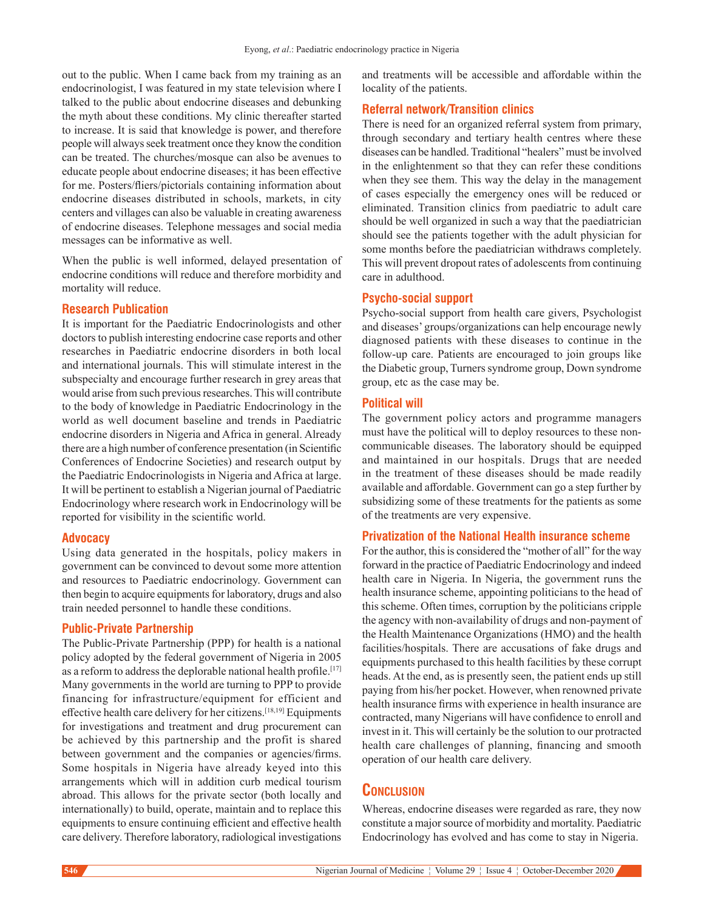out to the public. When I came back from my training as an endocrinologist, I was featured in my state television where I talked to the public about endocrine diseases and debunking the myth about these conditions. My clinic thereafter started to increase. It is said that knowledge is power, and therefore people will always seek treatment once they know the condition can be treated. The churches/mosque can also be avenues to educate people about endocrine diseases; it has been effective for me. Posters/fliers/pictorials containing information about endocrine diseases distributed in schools, markets, in city centers and villages can also be valuable in creating awareness of endocrine diseases. Telephone messages and social media messages can be informative as well.

When the public is well informed, delayed presentation of endocrine conditions will reduce and therefore morbidity and mortality will reduce.

#### **Research Publication**

It is important for the Paediatric Endocrinologists and other doctors to publish interesting endocrine case reports and other researches in Paediatric endocrine disorders in both local and international journals. This will stimulate interest in the subspecialty and encourage further research in grey areas that would arise from such previous researches. This will contribute to the body of knowledge in Paediatric Endocrinology in the world as well document baseline and trends in Paediatric endocrine disorders in Nigeria and Africa in general. Already there are a high number of conference presentation (in Scientific Conferences of Endocrine Societies) and research output by the Paediatric Endocrinologists in Nigeria and Africa at large. It will be pertinent to establish a Nigerian journal of Paediatric Endocrinology where research work in Endocrinology will be reported for visibility in the scientific world.

#### **Advocacy**

Using data generated in the hospitals, policy makers in government can be convinced to devout some more attention and resources to Paediatric endocrinology. Government can then begin to acquire equipments for laboratory, drugs and also train needed personnel to handle these conditions.

#### **Public-Private Partnership**

The Public-Private Partnership (PPP) for health is a national policy adopted by the federal government of Nigeria in 2005 as a reform to address the deplorable national health profile.<sup>[17]</sup> Many governments in the world are turning to PPP to provide financing for infrastructure/equipment for efficient and effective health care delivery for her citizens.[18,19] Equipments for investigations and treatment and drug procurement can be achieved by this partnership and the profit is shared between government and the companies or agencies/firms. Some hospitals in Nigeria have already keyed into this arrangements which will in addition curb medical tourism abroad. This allows for the private sector (both locally and internationally) to build, operate, maintain and to replace this equipments to ensure continuing efficient and effective health care delivery. Therefore laboratory, radiological investigations and treatments will be accessible and affordable within the locality of the patients.

#### **Referral network/Transition clinics**

There is need for an organized referral system from primary, through secondary and tertiary health centres where these diseases can be handled. Traditional "healers" must be involved in the enlightenment so that they can refer these conditions when they see them. This way the delay in the management of cases especially the emergency ones will be reduced or eliminated. Transition clinics from paediatric to adult care should be well organized in such a way that the paediatrician should see the patients together with the adult physician for some months before the paediatrician withdraws completely. This will prevent dropout rates of adolescents from continuing care in adulthood.

#### **Psycho-social support**

Psycho-social support from health care givers, Psychologist and diseases' groups/organizations can help encourage newly diagnosed patients with these diseases to continue in the follow-up care. Patients are encouraged to join groups like the Diabetic group, Turners syndrome group, Down syndrome group, etc as the case may be.

#### **Political will**

The government policy actors and programme managers must have the political will to deploy resources to these noncommunicable diseases. The laboratory should be equipped and maintained in our hospitals. Drugs that are needed in the treatment of these diseases should be made readily available and affordable. Government can go a step further by subsidizing some of these treatments for the patients as some of the treatments are very expensive.

## **Privatization of the National Health insurance scheme**

For the author, this is considered the "mother of all" for the way forward in the practice of Paediatric Endocrinology and indeed health care in Nigeria. In Nigeria, the government runs the health insurance scheme, appointing politicians to the head of this scheme. Often times, corruption by the politicians cripple the agency with non-availability of drugs and non-payment of the Health Maintenance Organizations (HMO) and the health facilities/hospitals. There are accusations of fake drugs and equipments purchased to this health facilities by these corrupt heads. At the end, as is presently seen, the patient ends up still paying from his/her pocket. However, when renowned private health insurance firms with experience in health insurance are contracted, many Nigerians will have confidence to enroll and invest in it. This will certainly be the solution to our protracted health care challenges of planning, financing and smooth operation of our health care delivery.

# **Conclusion**

Whereas, endocrine diseases were regarded as rare, they now constitute a major source of morbidity and mortality. Paediatric Endocrinology has evolved and has come to stay in Nigeria.